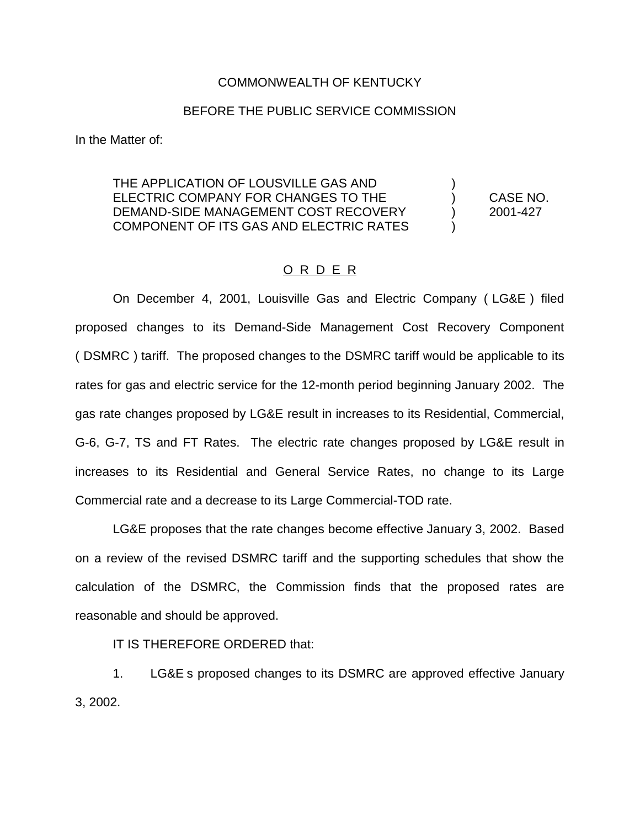## COMMONWEALTH OF KENTUCKY

## BEFORE THE PUBLIC SERVICE COMMISSION

In the Matter of:

THE APPLICATION OF LOUSVILLE GAS AND ) ELECTRIC COMPANY FOR CHANGES TO THE ) CASE NO. DEMAND-SIDE MANAGEMENT COST RECOVERY (2001-427 COMPONENT OF ITS GAS AND ELECTRIC RATES )

## O R D E R

On December 4, 2001, Louisville Gas and Electric Company ( LG&E ) filed proposed changes to its Demand-Side Management Cost Recovery Component ( DSMRC ) tariff. The proposed changes to the DSMRC tariff would be applicable to its rates for gas and electric service for the 12-month period beginning January 2002. The gas rate changes proposed by LG&E result in increases to its Residential, Commercial, G-6, G-7, TS and FT Rates. The electric rate changes proposed by LG&E result in increases to its Residential and General Service Rates, no change to its Large Commercial rate and a decrease to its Large Commercial-TOD rate.

LG&E proposes that the rate changes become effective January 3, 2002. Based on a review of the revised DSMRC tariff and the supporting schedules that show the calculation of the DSMRC, the Commission finds that the proposed rates are reasonable and should be approved.

IT IS THEREFORE ORDERED that:

1. LG&E s proposed changes to its DSMRC are approved effective January 3, 2002.